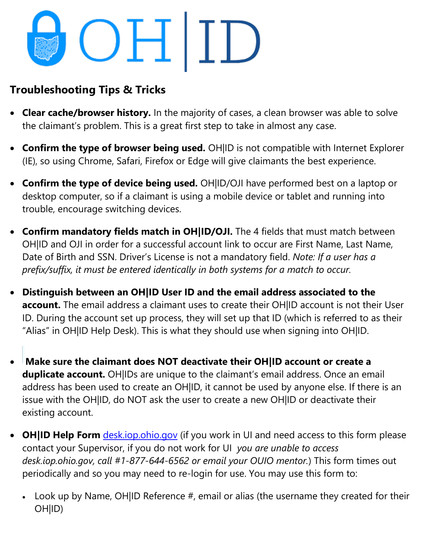## OHID

## **Troubleshooting Tips & Tricks**

- **Clear cache/browser history.** In the majority of cases, a clean browser was able to solve the claimant's problem. This is a great first step to take in almost any case.
- **Confirm the type of browser being used.** OH|ID is not compatible with Internet Explorer (IE), so using Chrome, Safari, Firefox or Edge will give claimants the best experience.
- **Confirm the type of device being used.** OH|ID/OJI have performed best on a laptop or desktop computer, so if a claimant is using a mobile device or tablet and running into trouble, encourage switching devices.
- **Confirm mandatory fields match in OH|ID/OJI.** The 4 fields that must match between OH|ID and OJI in order for a successful account link to occur are First Name, Last Name, Date of Birth and SSN. Driver's License is not a mandatory field. *Note: If a user has a prefix/suffix, it must be entered identically in both systems for a match to occur.*
- **Distinguish between an OH|ID User ID and the email address associated to the account.** The email address a claimant uses to create their OH|ID account is not their User ID. During the account set up process, they will set up that ID (which is referred to as their "Alias" in OH|ID Help Desk). This is what they should use when signing into OH|ID.
- **Make sure the claimant does NOT deactivate their OH|ID account or create a duplicate account.** OH|IDs are unique to the claimant's email address. Once an email address has been used to create an OH|ID, it cannot be used by anyone else. If there is an issue with the OH|ID, do NOT ask the user to create a new OH|ID or deactivate their existing account.
- **OH|ID Help Form** desk.jop.ohio.gov (if you work in UI and need access to this form please contact your Supervisor, if you do not work for UI *you are unable to access desk.iop.ohio.gov, call #1-877-644-6562 or email your OUIO mentor.*) This form times out periodically and so you may need to re-login for use. You may use this form to:
	- Look up by Name, OH|ID Reference #, email or alias (the username they created for their OH|ID)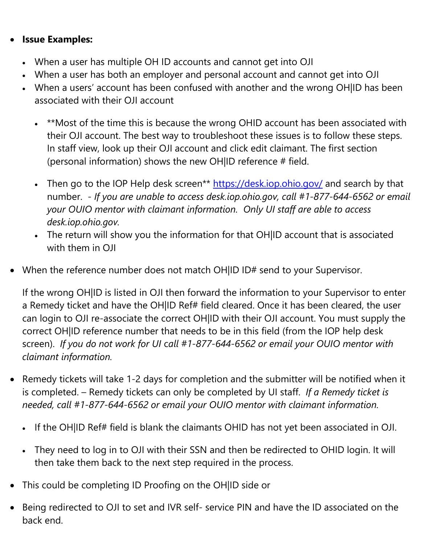## • **Issue Examples:**

- When a user has multiple OH ID accounts and cannot get into OJI
- When a user has both an employer and personal account and cannot get into OJI
- When a users' account has been confused with another and the wrong OH|ID has been associated with their OJI account
	- \*\*Most of the time this is because the wrong OHID account has been associated with their OJI account. The best way to troubleshoot these issues is to follow these steps. In staff view, look up their OJI account and click edit claimant. The first section (personal information) shows the new OH|ID reference # field.
	- Then go to the IOP Help desk screen\*\*<https://desk.iop.ohio.gov/> and search by that number. - *If you are unable to access desk.iop.ohio.gov, call #1-877-644-6562 or email your OUIO mentor with claimant information. Only UI staff are able to access desk.iop.ohio.gov.*
	- The return will show you the information for that OH|ID account that is associated with them in OII
- When the reference number does not match OH|ID ID# send to your Supervisor.

If the wrong OH|ID is listed in OJI then forward the information to your Supervisor to enter a Remedy ticket and have the OH|ID Ref# field cleared. Once it has been cleared, the user can login to OJI re-associate the correct OH|ID with their OJI account. You must supply the correct OH|ID reference number that needs to be in this field (from the IOP help desk screen). *If you do not work for UI* c*all #1-877-644-6562 or email your OUIO mentor with claimant information.*

- Remedy tickets will take 1-2 days for completion and the submitter will be notified when it is completed. – Remedy tickets can only be completed by UI staff. *If a Remedy ticket is needed, call #1-877-644-6562 or email your OUIO mentor with claimant information.*
	- If the OH|ID Ref# field is blank the claimants OHID has not yet been associated in OJI.
	- They need to log in to OJI with their SSN and then be redirected to OHID login. It will then take them back to the next step required in the process.
- This could be completing ID Proofing on the OH|ID side or
- Being redirected to OJI to set and IVR self- service PIN and have the ID associated on the back end.